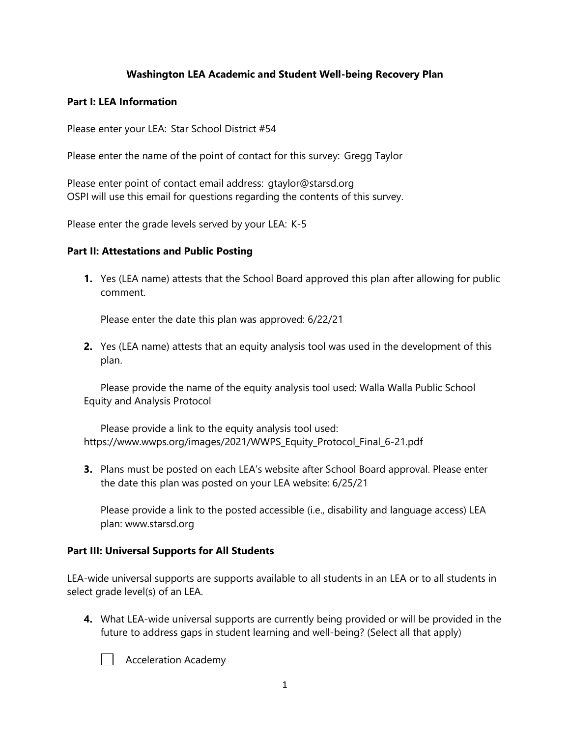## **Washington LEA Academic and Student Well-being Recovery Plan**

#### **Part I: LEA Information**

Please enter your LEA:  Star School District #54

Please enter the name of the point of contact for this survey:  Gregg Taylor

Please enter point of contact email address:  gtaylor@starsd.org OSPI will use this email for questions regarding the contents of this survey. 

Please enter the grade levels served by your LEA:  K-5

### **Part II: Attestations and Public Posting**

**1.** Yes (LEA name) attests that the School Board approved this plan after allowing for public comment.

Please enter the date this plan was approved: 6/22/21

**2.** Yes (LEA name) attests that an equity analysis tool was used in the development of this plan.

Please provide the name of the equity analysis tool used: Walla Walla Public School Equity and Analysis Protocol

Please provide a link to the equity analysis tool used: https://www.wwps.org/images/2021/WWPS\_Equity\_Protocol\_Final\_6-21.pdf

**3.** Plans must be posted on each LEA's website after School Board approval. Please enter the date this plan was posted on your LEA website: 6/25/21

Please provide a link to the posted accessible (i.e., disability and language access) LEA plan: www.starsd.org

## **Part III: Universal Supports for All Students**

LEA-wide universal supports are supports available to all students in an LEA or to all students in select grade level(s) of an LEA.

**4.** What LEA-wide universal supports are currently being provided or will be provided in the future to address gaps in student learning and well-being? (Select all that apply)



Acceleration Academy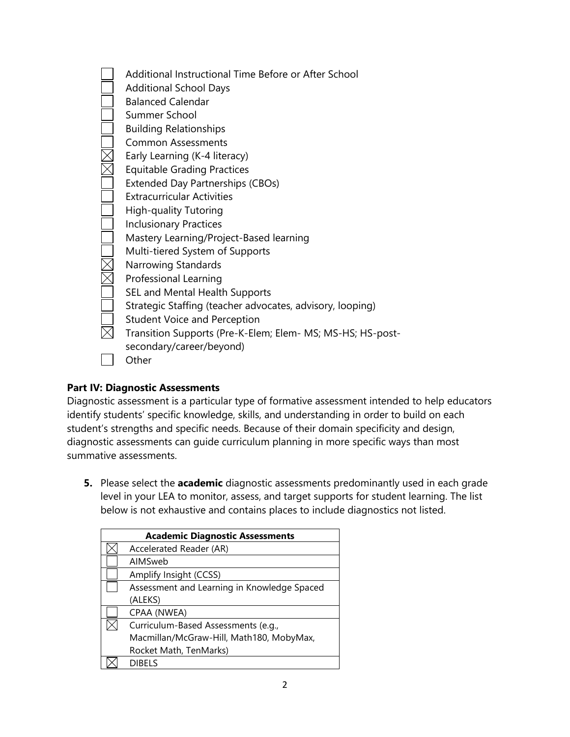| Additional Instructional Time Before or After School       |
|------------------------------------------------------------|
| <b>Additional School Days</b>                              |
| <b>Balanced Calendar</b>                                   |
| Summer School                                              |
| <b>Building Relationships</b>                              |
| Common Assessments                                         |
| Early Learning (K-4 literacy)                              |
| <b>Equitable Grading Practices</b>                         |
| <b>Extended Day Partnerships (CBOs)</b>                    |
| <b>Extracurricular Activities</b>                          |
| <b>High-quality Tutoring</b>                               |
| <b>Inclusionary Practices</b>                              |
| Mastery Learning/Project-Based learning                    |
| Multi-tiered System of Supports                            |
| Narrowing Standards                                        |
| Professional Learning                                      |
| SEL and Mental Health Supports                             |
| Strategic Staffing (teacher advocates, advisory, looping)  |
| <b>Student Voice and Perception</b>                        |
| Transition Supports (Pre-K-Elem; Elem- MS; MS-HS; HS-post- |
| secondary/career/beyond)                                   |
| Other                                                      |
|                                                            |

## **Part IV: Diagnostic Assessments**

Diagnostic assessment is a particular type of formative assessment intended to help educators identify students' specific knowledge, skills, and understanding in order to build on each student's strengths and specific needs. Because of their domain specificity and design, diagnostic assessments can guide curriculum planning in more specific ways than most summative assessments. 

**5.** Please select the **academic** diagnostic assessments predominantly used in each grade level in your LEA to monitor, assess, and target supports for student learning. The list below is not exhaustive and contains places to include diagnostics not listed.

| <b>Academic Diagnostic Assessments</b>      |  |  |  |
|---------------------------------------------|--|--|--|
| Accelerated Reader (AR)                     |  |  |  |
| AIMSweb                                     |  |  |  |
| Amplify Insight (CCSS)                      |  |  |  |
| Assessment and Learning in Knowledge Spaced |  |  |  |
| (ALEKS)                                     |  |  |  |
| CPAA (NWEA)                                 |  |  |  |
| Curriculum-Based Assessments (e.g.,         |  |  |  |
| Macmillan/McGraw-Hill, Math180, MobyMax,    |  |  |  |
| Rocket Math, TenMarks)                      |  |  |  |
| <b>DIBELS</b>                               |  |  |  |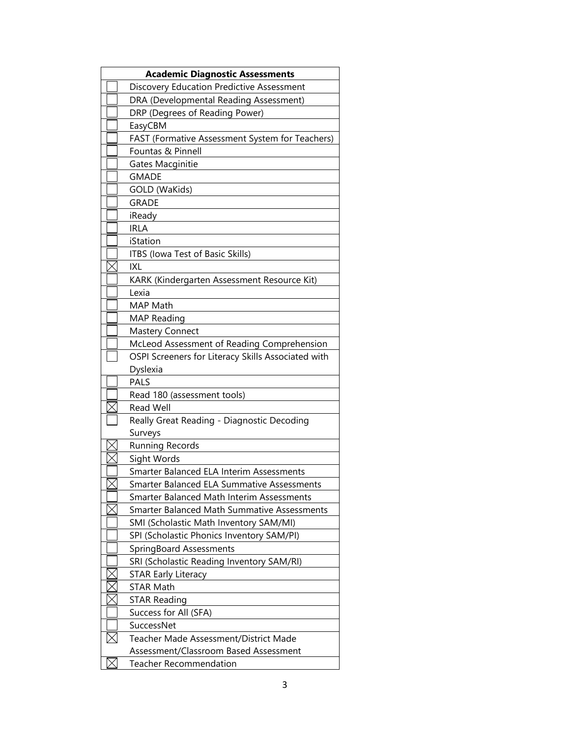| <b>Academic Diagnostic Assessments</b> |                                                    |  |  |
|----------------------------------------|----------------------------------------------------|--|--|
|                                        | Discovery Education Predictive Assessment          |  |  |
|                                        | DRA (Developmental Reading Assessment)             |  |  |
|                                        | DRP (Degrees of Reading Power)                     |  |  |
|                                        | EasyCBM                                            |  |  |
|                                        | FAST (Formative Assessment System for Teachers)    |  |  |
|                                        | Fountas & Pinnell                                  |  |  |
|                                        | Gates Macginitie                                   |  |  |
|                                        | <b>GMADE</b>                                       |  |  |
|                                        | GOLD (WaKids)                                      |  |  |
|                                        | <b>GRADE</b>                                       |  |  |
|                                        | iReady                                             |  |  |
|                                        | <b>IRLA</b>                                        |  |  |
|                                        | iStation                                           |  |  |
|                                        | ITBS (Iowa Test of Basic Skills)                   |  |  |
|                                        | IXL                                                |  |  |
|                                        | KARK (Kindergarten Assessment Resource Kit)        |  |  |
|                                        | Lexia                                              |  |  |
|                                        | MAP Math                                           |  |  |
|                                        | <b>MAP Reading</b>                                 |  |  |
|                                        | <b>Mastery Connect</b>                             |  |  |
|                                        | McLeod Assessment of Reading Comprehension         |  |  |
|                                        | OSPI Screeners for Literacy Skills Associated with |  |  |
|                                        | Dyslexia                                           |  |  |
|                                        | <b>PALS</b>                                        |  |  |
|                                        | Read 180 (assessment tools)                        |  |  |
|                                        | <b>Read Well</b>                                   |  |  |
|                                        | Really Great Reading - Diagnostic Decoding         |  |  |
|                                        | Surveys                                            |  |  |
|                                        | <b>Running Records</b>                             |  |  |
|                                        | Sight Words                                        |  |  |
|                                        | Smarter Balanced ELA Interim Assessments           |  |  |
|                                        | Smarter Balanced ELA Summative Assessments         |  |  |
|                                        | <b>Smarter Balanced Math Interim Assessments</b>   |  |  |
|                                        | Smarter Balanced Math Summative Assessments        |  |  |
|                                        | SMI (Scholastic Math Inventory SAM/MI)             |  |  |
|                                        | SPI (Scholastic Phonics Inventory SAM/PI)          |  |  |
|                                        | SpringBoard Assessments                            |  |  |
|                                        | SRI (Scholastic Reading Inventory SAM/RI)          |  |  |
|                                        | <b>STAR Early Literacy</b>                         |  |  |
|                                        | <b>STAR Math</b>                                   |  |  |
|                                        |                                                    |  |  |
|                                        | <b>STAR Reading</b>                                |  |  |
|                                        | Success for All (SFA)<br>SuccessNet                |  |  |
|                                        |                                                    |  |  |
|                                        | Teacher Made Assessment/District Made              |  |  |
|                                        | Assessment/Classroom Based Assessment              |  |  |
|                                        | <b>Teacher Recommendation</b>                      |  |  |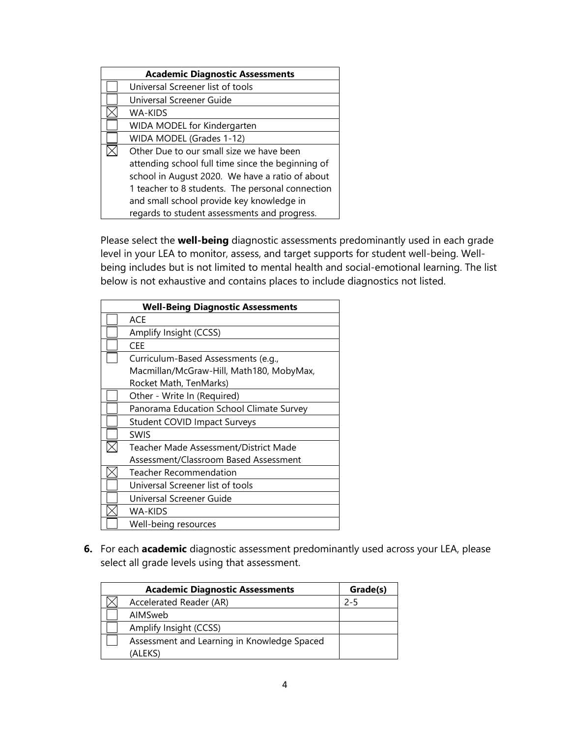| <b>Academic Diagnostic Assessments</b> |                                                   |  |
|----------------------------------------|---------------------------------------------------|--|
|                                        | Universal Screener list of tools                  |  |
|                                        | Universal Screener Guide                          |  |
|                                        | WA-KIDS                                           |  |
|                                        | WIDA MODEL for Kindergarten                       |  |
|                                        | WIDA MODEL (Grades 1-12)                          |  |
|                                        | Other Due to our small size we have been          |  |
|                                        | attending school full time since the beginning of |  |
|                                        | school in August 2020. We have a ratio of about   |  |
|                                        | 1 teacher to 8 students. The personal connection  |  |
|                                        | and small school provide key knowledge in         |  |
|                                        | regards to student assessments and progress.      |  |

Please select the **well-being** diagnostic assessments predominantly used in each grade level in your LEA to monitor, assess, and target supports for student well-being. Wellbeing includes but is not limited to mental health and social-emotional learning. The list below is not exhaustive and contains places to include diagnostics not listed.

| <b>Well-Being Diagnostic Assessments</b> |
|------------------------------------------|
| ACE                                      |
| Amplify Insight (CCSS)                   |
| CEE                                      |
| Curriculum-Based Assessments (e.g.,      |
| Macmillan/McGraw-Hill, Math180, MobyMax, |
| Rocket Math, TenMarks)                   |
| Other - Write In (Required)              |
| Panorama Education School Climate Survey |
| <b>Student COVID Impact Surveys</b>      |
| <b>SWIS</b>                              |
| Teacher Made Assessment/District Made    |
| Assessment/Classroom Based Assessment    |
| Teacher Recommendation                   |
| Universal Screener list of tools         |
| Universal Screener Guide                 |
| WA-KIDS                                  |
| Well-being resources                     |

**6.** For each **academic** diagnostic assessment predominantly used across your LEA, please select all grade levels using that assessment.

| <b>Academic Diagnostic Assessments</b>      | Grade(s) |
|---------------------------------------------|----------|
| Accelerated Reader (AR)                     | $2 - 5$  |
| AIMSweb                                     |          |
| Amplify Insight (CCSS)                      |          |
| Assessment and Learning in Knowledge Spaced |          |
| (ALEKS)                                     |          |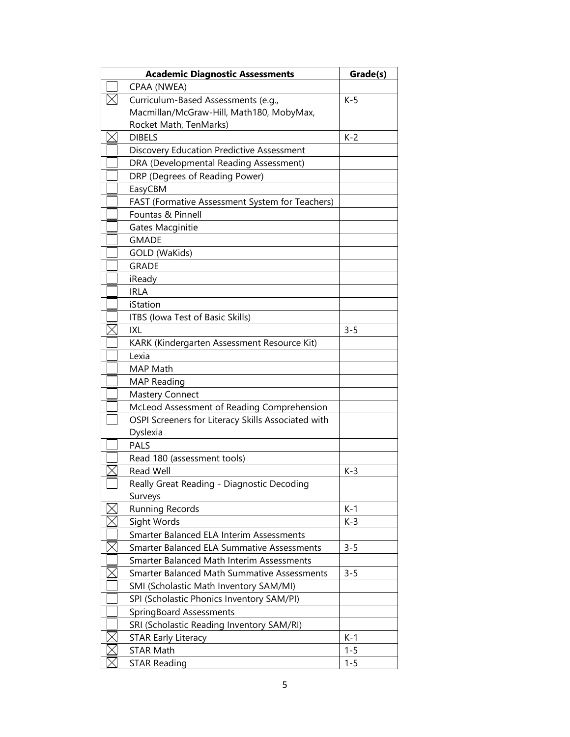| <b>Academic Diagnostic Assessments</b> |                                                    | Grade(s) |
|----------------------------------------|----------------------------------------------------|----------|
|                                        | CPAA (NWEA)                                        |          |
|                                        | Curriculum-Based Assessments (e.g.,                | $K-5$    |
|                                        | Macmillan/McGraw-Hill, Math180, MobyMax,           |          |
|                                        | Rocket Math, TenMarks)                             |          |
|                                        | <b>DIBELS</b>                                      | $K-2$    |
|                                        | Discovery Education Predictive Assessment          |          |
|                                        | DRA (Developmental Reading Assessment)             |          |
|                                        | DRP (Degrees of Reading Power)                     |          |
|                                        | EasyCBM                                            |          |
|                                        | FAST (Formative Assessment System for Teachers)    |          |
|                                        | Fountas & Pinnell                                  |          |
|                                        | Gates Macginitie                                   |          |
|                                        | <b>GMADE</b>                                       |          |
|                                        | GOLD (WaKids)                                      |          |
|                                        | <b>GRADE</b>                                       |          |
|                                        | iReady                                             |          |
|                                        | <b>IRLA</b>                                        |          |
|                                        | iStation                                           |          |
|                                        | ITBS (Iowa Test of Basic Skills)                   |          |
|                                        | <b>IXL</b>                                         | $3 - 5$  |
|                                        | KARK (Kindergarten Assessment Resource Kit)        |          |
|                                        | Lexia                                              |          |
|                                        | MAP Math                                           |          |
|                                        | <b>MAP Reading</b>                                 |          |
|                                        | <b>Mastery Connect</b>                             |          |
|                                        | McLeod Assessment of Reading Comprehension         |          |
|                                        | OSPI Screeners for Literacy Skills Associated with |          |
|                                        | Dyslexia                                           |          |
|                                        | <b>PALS</b>                                        |          |
|                                        | Read 180 (assessment tools)                        |          |
|                                        | <b>Read Well</b>                                   | $K-3$    |
|                                        | Really Great Reading - Diagnostic Decoding         |          |
|                                        | Surveys                                            |          |
|                                        | <b>Running Records</b>                             | $K-1$    |
|                                        | Sight Words                                        | $K-3$    |
|                                        | Smarter Balanced ELA Interim Assessments           |          |
|                                        | Smarter Balanced ELA Summative Assessments         | $3 - 5$  |
|                                        | Smarter Balanced Math Interim Assessments          |          |
|                                        | <b>Smarter Balanced Math Summative Assessments</b> | $3 - 5$  |
|                                        | SMI (Scholastic Math Inventory SAM/MI)             |          |
|                                        | SPI (Scholastic Phonics Inventory SAM/PI)          |          |
|                                        | SpringBoard Assessments                            |          |
|                                        | SRI (Scholastic Reading Inventory SAM/RI)          |          |
|                                        | <b>STAR Early Literacy</b>                         | $K-1$    |
|                                        | <b>STAR Math</b>                                   | $1 - 5$  |
|                                        | <b>STAR Reading</b>                                | $1 - 5$  |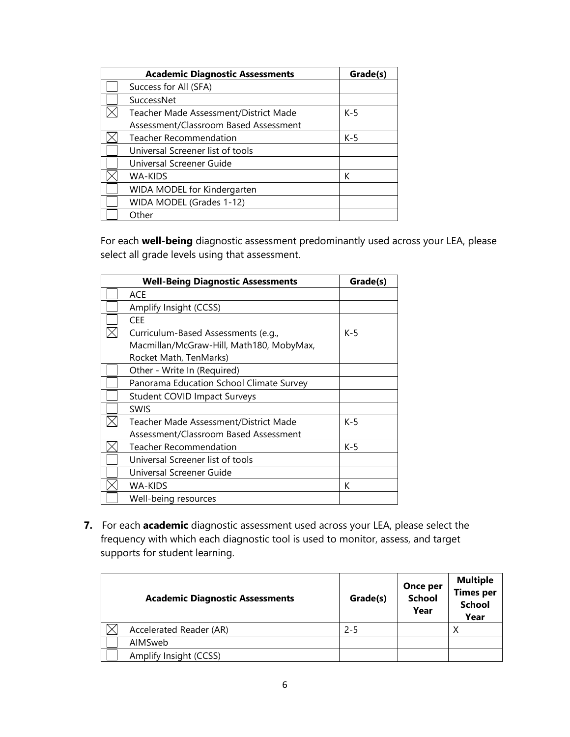| <b>Academic Diagnostic Assessments</b> | Grade(s) |
|----------------------------------------|----------|
| Success for All (SFA)                  |          |
| SuccessNet                             |          |
| Teacher Made Assessment/District Made  | $K-5$    |
| Assessment/Classroom Based Assessment  |          |
| Teacher Recommendation                 | $K-5$    |
| Universal Screener list of tools       |          |
| Universal Screener Guide               |          |
| WA-KIDS                                | К        |
| WIDA MODEL for Kindergarten            |          |
| WIDA MODEL (Grades 1-12)               |          |
| Other                                  |          |

For each **well-being** diagnostic assessment predominantly used across your LEA, please select all grade levels using that assessment.

| <b>Well-Being Diagnostic Assessments</b> |                                          | Grade(s) |
|------------------------------------------|------------------------------------------|----------|
|                                          | ACE                                      |          |
|                                          | Amplify Insight (CCSS)                   |          |
|                                          | <b>CEE</b>                               |          |
|                                          | Curriculum-Based Assessments (e.g.,      | $K-5$    |
|                                          | Macmillan/McGraw-Hill, Math180, MobyMax, |          |
|                                          | Rocket Math, TenMarks)                   |          |
|                                          | Other - Write In (Required)              |          |
|                                          | Panorama Education School Climate Survey |          |
|                                          | <b>Student COVID Impact Surveys</b>      |          |
|                                          | <b>SWIS</b>                              |          |
|                                          | Teacher Made Assessment/District Made    | $K-5$    |
|                                          | Assessment/Classroom Based Assessment    |          |
|                                          | <b>Teacher Recommendation</b>            | $K-5$    |
|                                          | Universal Screener list of tools         |          |
|                                          | Universal Screener Guide                 |          |
|                                          | <b>WA-KIDS</b>                           | К        |
|                                          | Well-being resources                     |          |

**7.** For each **academic** diagnostic assessment used across your LEA, please select the frequency with which each diagnostic tool is used to monitor, assess, and target supports for student learning.

| <b>Academic Diagnostic Assessments</b> | Grade(s) | <b>Once per</b><br><b>School</b><br>Year | <b>Multiple</b><br><b>Times per</b><br><b>School</b><br>Year |
|----------------------------------------|----------|------------------------------------------|--------------------------------------------------------------|
| Accelerated Reader (AR)                | $2 - 5$  |                                          | ν                                                            |
| AIMSweb                                |          |                                          |                                                              |
| Amplify Insight (CCSS)                 |          |                                          |                                                              |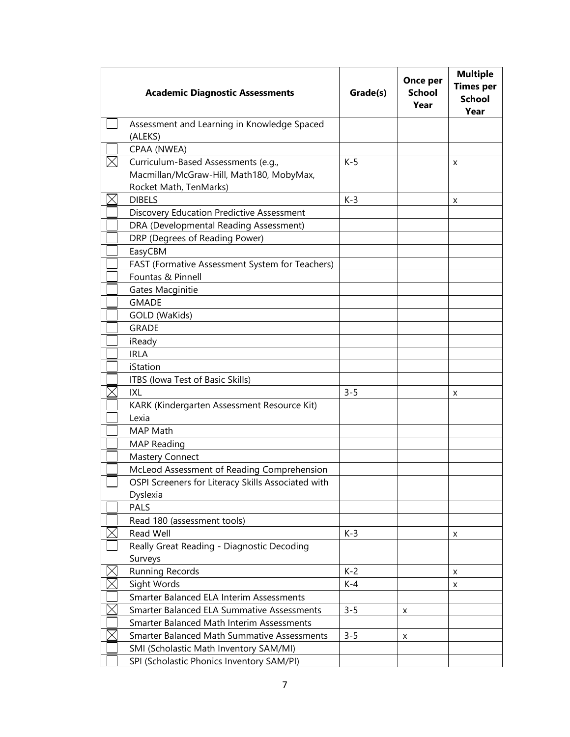| <b>Academic Diagnostic Assessments</b>                             | Grade(s) | Once per<br><b>School</b><br>Year | <b>Multiple</b><br><b>Times per</b><br><b>School</b><br>Year |
|--------------------------------------------------------------------|----------|-----------------------------------|--------------------------------------------------------------|
| Assessment and Learning in Knowledge Spaced<br>(ALEKS)             |          |                                   |                                                              |
|                                                                    |          |                                   |                                                              |
| CPAA (NWEA)                                                        |          |                                   |                                                              |
| Curriculum-Based Assessments (e.g.,                                | $K-5$    |                                   | X                                                            |
| Macmillan/McGraw-Hill, Math180, MobyMax,<br>Rocket Math, TenMarks) |          |                                   |                                                              |
| <b>DIBELS</b>                                                      | $K-3$    |                                   |                                                              |
| Discovery Education Predictive Assessment                          |          |                                   | x                                                            |
| DRA (Developmental Reading Assessment)                             |          |                                   |                                                              |
| DRP (Degrees of Reading Power)                                     |          |                                   |                                                              |
| EasyCBM                                                            |          |                                   |                                                              |
| FAST (Formative Assessment System for Teachers)                    |          |                                   |                                                              |
| Fountas & Pinnell                                                  |          |                                   |                                                              |
| Gates Macginitie                                                   |          |                                   |                                                              |
| <b>GMADE</b>                                                       |          |                                   |                                                              |
| GOLD (WaKids)                                                      |          |                                   |                                                              |
| <b>GRADE</b>                                                       |          |                                   |                                                              |
| iReady                                                             |          |                                   |                                                              |
| <b>IRLA</b>                                                        |          |                                   |                                                              |
| iStation                                                           |          |                                   |                                                              |
| ITBS (Iowa Test of Basic Skills)                                   |          |                                   |                                                              |
| IXL                                                                | $3 - 5$  |                                   | x                                                            |
| KARK (Kindergarten Assessment Resource Kit)                        |          |                                   |                                                              |
| Lexia                                                              |          |                                   |                                                              |
| <b>MAP Math</b>                                                    |          |                                   |                                                              |
| <b>MAP Reading</b>                                                 |          |                                   |                                                              |
| <b>Mastery Connect</b>                                             |          |                                   |                                                              |
| McLeod Assessment of Reading Comprehension                         |          |                                   |                                                              |
| OSPI Screeners for Literacy Skills Associated with                 |          |                                   |                                                              |
| Dyslexia                                                           |          |                                   |                                                              |
| <b>PALS</b>                                                        |          |                                   |                                                              |
| Read 180 (assessment tools)                                        |          |                                   |                                                              |
| Read Well                                                          | $K-3$    |                                   | X                                                            |
| Really Great Reading - Diagnostic Decoding                         |          |                                   |                                                              |
| Surveys                                                            |          |                                   |                                                              |
| Running Records                                                    | $K-2$    |                                   | X                                                            |
| Sight Words                                                        | $K-4$    |                                   | X                                                            |
| Smarter Balanced ELA Interim Assessments                           |          |                                   |                                                              |
| Smarter Balanced ELA Summative Assessments                         | $3 - 5$  | X                                 |                                                              |
| Smarter Balanced Math Interim Assessments                          |          |                                   |                                                              |
| Smarter Balanced Math Summative Assessments                        | $3 - 5$  | x                                 |                                                              |
| SMI (Scholastic Math Inventory SAM/MI)                             |          |                                   |                                                              |
| SPI (Scholastic Phonics Inventory SAM/PI)                          |          |                                   |                                                              |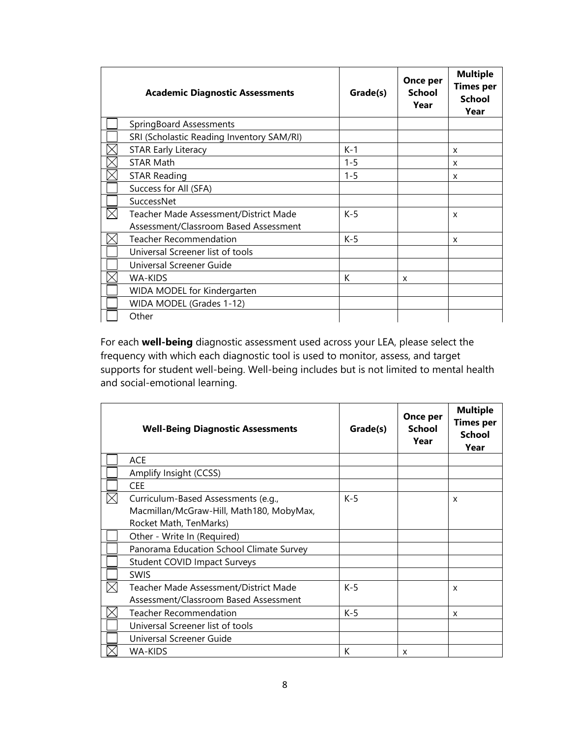| <b>Academic Diagnostic Assessments</b>                                         | Grade(s) | Once per<br>School<br>Year | <b>Multiple</b><br><b>Times per</b><br><b>School</b><br>Year |
|--------------------------------------------------------------------------------|----------|----------------------------|--------------------------------------------------------------|
| SpringBoard Assessments                                                        |          |                            |                                                              |
| SRI (Scholastic Reading Inventory SAM/RI)                                      |          |                            |                                                              |
| <b>STAR Early Literacy</b>                                                     | $K-1$    |                            | X                                                            |
| <b>STAR Math</b>                                                               | $1 - 5$  |                            | x                                                            |
| <b>STAR Reading</b>                                                            | $1 - 5$  |                            | X                                                            |
| Success for All (SFA)                                                          |          |                            |                                                              |
| SuccessNet                                                                     |          |                            |                                                              |
| Teacher Made Assessment/District Made<br>Assessment/Classroom Based Assessment | $K-5$    |                            | X                                                            |
| Teacher Recommendation                                                         | $K-5$    |                            | x                                                            |
| Universal Screener list of tools                                               |          |                            |                                                              |
| Universal Screener Guide                                                       |          |                            |                                                              |
| WA-KIDS                                                                        | К        | X                          |                                                              |
| WIDA MODEL for Kindergarten                                                    |          |                            |                                                              |
| WIDA MODEL (Grades 1-12)                                                       |          |                            |                                                              |
| Other                                                                          |          |                            |                                                              |

For each **well-being** diagnostic assessment used across your LEA, please select the frequency with which each diagnostic tool is used to monitor, assess, and target supports for student well-being. Well-being includes but is not limited to mental health and social-emotional learning. 

| <b>Well-Being Diagnostic Assessments</b>                                                                  | Grade(s) | Once per<br>School<br>Year | <b>Multiple</b><br><b>Times per</b><br>School<br>Year |
|-----------------------------------------------------------------------------------------------------------|----------|----------------------------|-------------------------------------------------------|
| <b>ACE</b>                                                                                                |          |                            |                                                       |
| Amplify Insight (CCSS)                                                                                    |          |                            |                                                       |
| <b>CEE</b>                                                                                                |          |                            |                                                       |
| Curriculum-Based Assessments (e.g.,<br>Macmillan/McGraw-Hill, Math180, MobyMax,<br>Rocket Math, TenMarks) | $K-5$    |                            | x                                                     |
| Other - Write In (Required)                                                                               |          |                            |                                                       |
| Panorama Education School Climate Survey                                                                  |          |                            |                                                       |
| <b>Student COVID Impact Surveys</b>                                                                       |          |                            |                                                       |
| <b>SWIS</b>                                                                                               |          |                            |                                                       |
| Teacher Made Assessment/District Made<br>Assessment/Classroom Based Assessment                            | $K-5$    |                            | x                                                     |
| <b>Teacher Recommendation</b>                                                                             | K-5      |                            | X                                                     |
| Universal Screener list of tools                                                                          |          |                            |                                                       |
| Universal Screener Guide                                                                                  |          |                            |                                                       |
| <b>WA-KIDS</b>                                                                                            | К        | X                          |                                                       |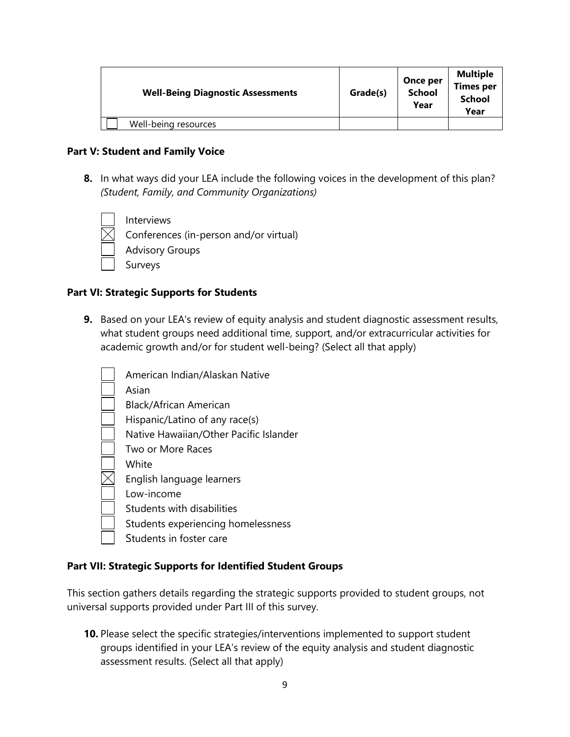| <b>Well-Being Diagnostic Assessments</b> | Grade(s) | Once per<br><b>School</b><br>Year | <b>Multiple</b><br><b>Times per</b><br><b>School</b><br>Year |
|------------------------------------------|----------|-----------------------------------|--------------------------------------------------------------|
| Well-being resources                     |          |                                   |                                                              |

#### **Part V: Student and Family Voice**

**8.** In what ways did your LEA include the following voices in the development of this plan?  *(Student, Family, and Community Organizations)*

Interviews Conferences (in-person and/or virtual) Advisory Groups Surveys

## **Part VI: Strategic Supports for Students**

**9.** Based on your LEA's review of equity analysis and student diagnostic assessment results, what student groups need additional time, support, and/or extracurricular activities for academic growth and/or for student well-being? (Select all that apply)

| American Indian/Alaskan Native         |
|----------------------------------------|
|                                        |
| Asian                                  |
| Black/African American                 |
| Hispanic/Latino of any race(s)         |
| Native Hawaiian/Other Pacific Islander |
| Two or More Races                      |
| White                                  |
| English language learners              |
| Low-income                             |
| Students with disabilities             |
| Students experiencing homelessness     |
| Students in foster care                |

# **Part VII: Strategic Supports for Identified Student Groups**

This section gathers details regarding the strategic supports provided to student groups, not universal supports provided under Part III of this survey.

**10.** Please select the specific strategies/interventions implemented to support student groups identified in your LEA's review of the equity analysis and student diagnostic assessment results. (Select all that apply)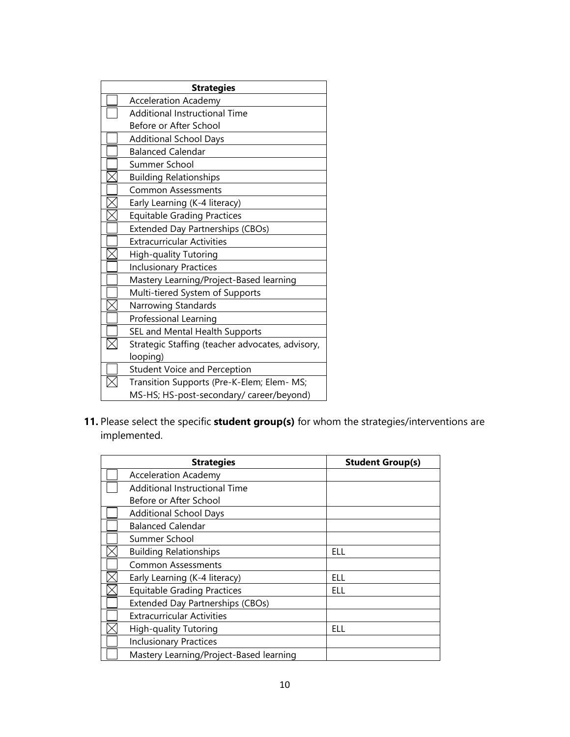| <b>Strategies</b> |                                                  |  |
|-------------------|--------------------------------------------------|--|
|                   | <b>Acceleration Academy</b>                      |  |
|                   | <b>Additional Instructional Time</b>             |  |
|                   | Before or After School                           |  |
|                   | <b>Additional School Days</b>                    |  |
|                   | <b>Balanced Calendar</b>                         |  |
|                   | Summer School                                    |  |
|                   | <b>Building Relationships</b>                    |  |
|                   | <b>Common Assessments</b>                        |  |
|                   | Early Learning (K-4 literacy)                    |  |
|                   | <b>Equitable Grading Practices</b>               |  |
|                   | Extended Day Partnerships (CBOs)                 |  |
|                   | <b>Extracurricular Activities</b>                |  |
|                   | High-quality Tutoring                            |  |
|                   | <b>Inclusionary Practices</b>                    |  |
|                   | Mastery Learning/Project-Based learning          |  |
|                   | Multi-tiered System of Supports                  |  |
|                   | Narrowing Standards                              |  |
|                   | Professional Learning                            |  |
|                   | SEL and Mental Health Supports                   |  |
|                   | Strategic Staffing (teacher advocates, advisory, |  |
|                   | looping)                                         |  |
|                   | <b>Student Voice and Perception</b>              |  |
|                   | Transition Supports (Pre-K-Elem; Elem- MS;       |  |
|                   | MS-HS; HS-post-secondary/ career/beyond)         |  |

**11.** Please select the specific **student group(s)** for whom the strategies/interventions are implemented.

| <b>Strategies</b>                       | <b>Student Group(s)</b> |
|-----------------------------------------|-------------------------|
| <b>Acceleration Academy</b>             |                         |
| Additional Instructional Time           |                         |
| Before or After School                  |                         |
| <b>Additional School Days</b>           |                         |
| <b>Balanced Calendar</b>                |                         |
| Summer School                           |                         |
| <b>Building Relationships</b>           | ELL                     |
| <b>Common Assessments</b>               |                         |
| Early Learning (K-4 literacy)           | ELL                     |
| <b>Equitable Grading Practices</b>      | ELL                     |
| Extended Day Partnerships (CBOs)        |                         |
| <b>Extracurricular Activities</b>       |                         |
| High-quality Tutoring                   | ELL                     |
| <b>Inclusionary Practices</b>           |                         |
| Mastery Learning/Project-Based learning |                         |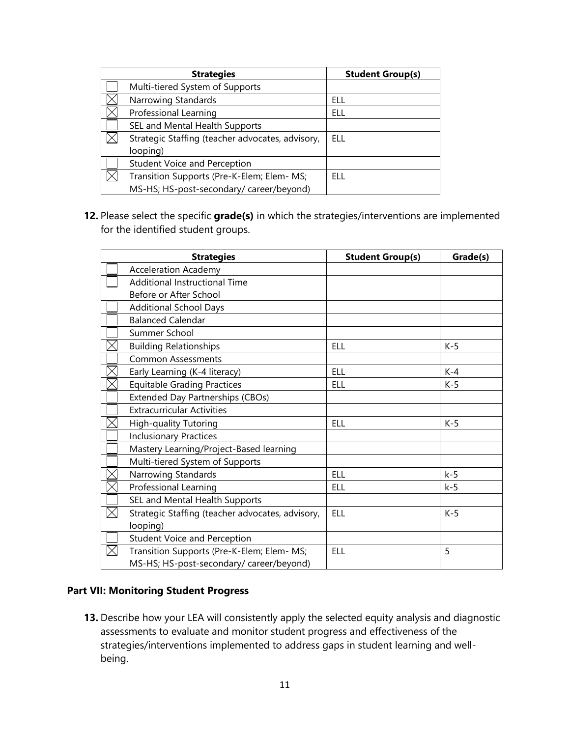| <b>Strategies</b>                                | <b>Student Group(s)</b> |
|--------------------------------------------------|-------------------------|
| Multi-tiered System of Supports                  |                         |
| Narrowing Standards                              | ELL                     |
| Professional Learning                            | ELL                     |
| SEL and Mental Health Supports                   |                         |
| Strategic Staffing (teacher advocates, advisory, | <b>ELL</b>              |
| looping)                                         |                         |
| <b>Student Voice and Perception</b>              |                         |
| Transition Supports (Pre-K-Elem; Elem- MS;       | FLL.                    |
| MS-HS; HS-post-secondary/ career/beyond)         |                         |

**12.** Please select the specific **grade(s)** in which the strategies/interventions are implemented for the identified student groups.

| <b>Strategies</b>                                | <b>Student Group(s)</b> | Grade(s) |
|--------------------------------------------------|-------------------------|----------|
| <b>Acceleration Academy</b>                      |                         |          |
| <b>Additional Instructional Time</b>             |                         |          |
| Before or After School                           |                         |          |
| <b>Additional School Days</b>                    |                         |          |
| <b>Balanced Calendar</b>                         |                         |          |
| Summer School                                    |                         |          |
| <b>Building Relationships</b>                    | <b>ELL</b>              | $K-5$    |
| <b>Common Assessments</b>                        |                         |          |
| Early Learning (K-4 literacy)                    | <b>ELL</b>              | $K-4$    |
| <b>Equitable Grading Practices</b>               | <b>ELL</b>              | $K-5$    |
| Extended Day Partnerships (CBOs)                 |                         |          |
| <b>Extracurricular Activities</b>                |                         |          |
| High-quality Tutoring                            | <b>ELL</b>              | $K-5$    |
| <b>Inclusionary Practices</b>                    |                         |          |
| Mastery Learning/Project-Based learning          |                         |          |
| Multi-tiered System of Supports                  |                         |          |
| Narrowing Standards                              | <b>ELL</b>              | $k-5$    |
| Professional Learning                            | <b>ELL</b>              | $k-5$    |
| SEL and Mental Health Supports                   |                         |          |
| Strategic Staffing (teacher advocates, advisory, | <b>ELL</b>              | $K-5$    |
| looping)                                         |                         |          |
| <b>Student Voice and Perception</b>              |                         |          |
| Transition Supports (Pre-K-Elem; Elem- MS;       | <b>ELL</b>              | 5        |
| MS-HS; HS-post-secondary/ career/beyond)         |                         |          |

## **Part VII: Monitoring Student Progress**

**13.** Describe how your LEA will consistently apply the selected equity analysis and diagnostic assessments to evaluate and monitor student progress and effectiveness of the strategies/interventions implemented to address gaps in student learning and wellbeing.